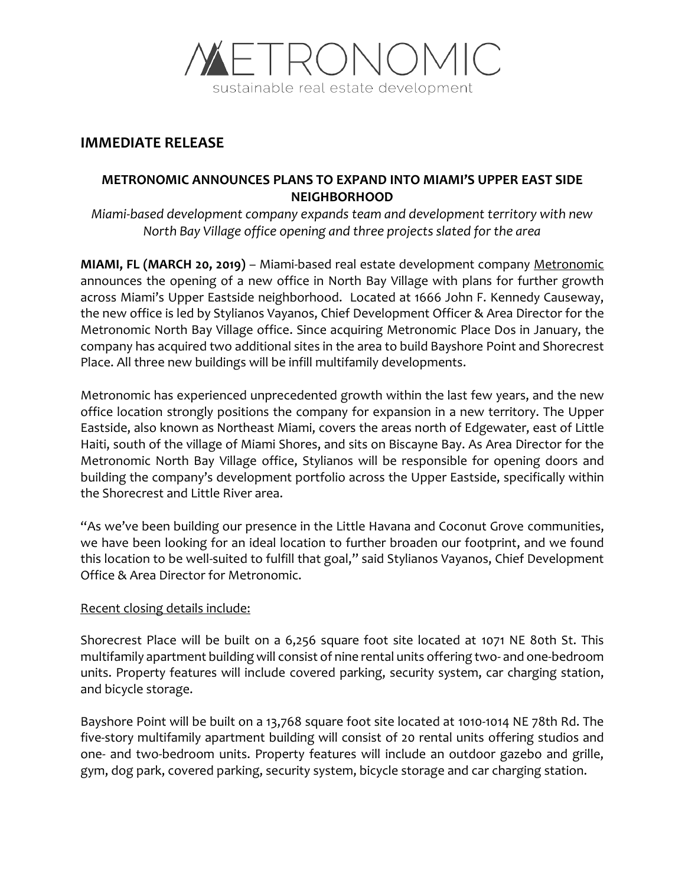

# **IMMEDIATE RELEASE**

# **METRONOMIC ANNOUNCES PLANS TO EXPAND INTO MIAMI'S UPPER EAST SIDE NEIGHBORHOOD**

*Miami-based development company expands team and development territory with new North Bay Village office opening and three projects slated for the area* 

**MIAMI, FL (MARCH 20, 2019)** – Miami-based real estate development company [Metronomic](https://www.metronomicinc.com/) announces the opening of a new office in North Bay Village with plans for further growth across Miami's Upper Eastside neighborhood. Located at 1666 John F. Kennedy Causeway, the new office is led by Stylianos Vayanos, Chief Development Officer & Area Director for the Metronomic North Bay Village office. Since acquiring Metronomic Place Dos in January, the company has acquired two additional sites in the area to build Bayshore Point and Shorecrest Place. All three new buildings will be infill multifamily developments.

Metronomic has experienced unprecedented growth within the last few years, and the new office location strongly positions the company for expansion in a new territory. The Upper Eastside, also known as Northeast Miami, covers the areas north of Edgewater, east of Little Haiti, south of the village of Miami Shores, and sits on Biscayne Bay. As Area Director for the Metronomic North Bay Village office, Stylianos will be responsible for opening doors and building the company's development portfolio across the Upper Eastside, specifically within the Shorecrest and Little River area.

"As we've been building our presence in the Little Havana and Coconut Grove communities, we have been looking for an ideal location to further broaden our footprint, and we found this location to be well-suited to fulfill that goal," said Stylianos Vayanos, Chief Development Office & Area Director for Metronomic.

### Recent closing details include:

Shorecrest Place will be built on a 6,256 square foot site located at 1071 NE 80th St. This multifamily apartment building will consist of nine rental units offering two- and one-bedroom units. Property features will include covered parking, security system, car charging station, and bicycle storage.

Bayshore Point will be built on a 13,768 square foot site located at 1010-1014 NE 78th Rd. The five-story multifamily apartment building will consist of 20 rental units offering studios and one- and two-bedroom units. Property features will include an outdoor gazebo and grille, gym, dog park, covered parking, security system, bicycle storage and car charging station.